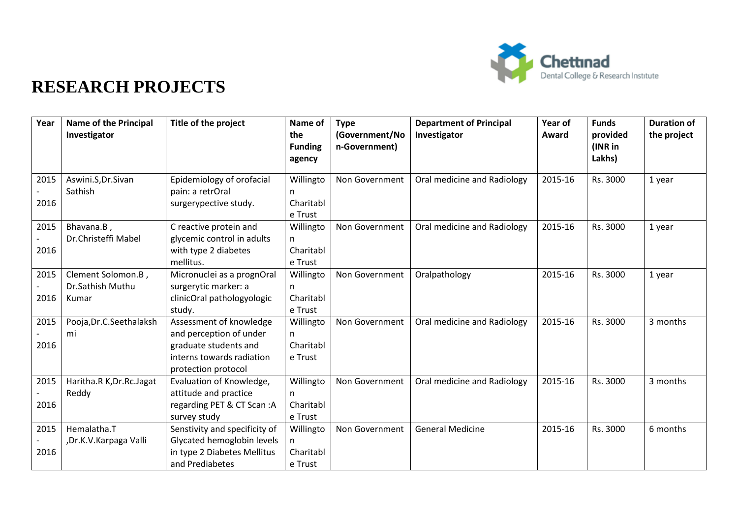

| Year         | <b>Name of the Principal</b><br>Investigator    | Title of the project                                                                                                            | Name of<br>the<br><b>Funding</b><br>agency | <b>Type</b><br>(Government/No<br>n-Government) | <b>Department of Principal</b><br>Investigator | Year of<br>Award | <b>Funds</b><br>provided<br>(INR in<br>Lakhs) | <b>Duration of</b><br>the project |
|--------------|-------------------------------------------------|---------------------------------------------------------------------------------------------------------------------------------|--------------------------------------------|------------------------------------------------|------------------------------------------------|------------------|-----------------------------------------------|-----------------------------------|
| 2015<br>2016 | Aswini.S, Dr.Sivan<br>Sathish                   | Epidemiology of orofacial<br>pain: a retrOral<br>surgerypective study.                                                          | Willingto<br>n.<br>Charitabl<br>e Trust    | Non Government                                 | Oral medicine and Radiology                    | 2015-16          | Rs. 3000                                      | 1 year                            |
| 2015<br>2016 | Bhavana.B,<br>Dr.Christeffi Mabel               | C reactive protein and<br>glycemic control in adults<br>with type 2 diabetes<br>mellitus.                                       | Willingto<br>n<br>Charitabl<br>e Trust     | Non Government                                 | Oral medicine and Radiology                    | 2015-16          | Rs. 3000                                      | 1 year                            |
| 2015<br>2016 | Clement Solomon.B,<br>Dr.Sathish Muthu<br>Kumar | Micronuclei as a prognOral<br>surgerytic marker: a<br>clinicOral pathologyologic<br>study.                                      | Willingto<br>n.<br>Charitabl<br>e Trust    | Non Government                                 | Oralpathology                                  | 2015-16          | Rs. 3000                                      | 1 year                            |
| 2015<br>2016 | Pooja, Dr.C. Seethalaksh<br>mi                  | Assessment of knowledge<br>and perception of under<br>graduate students and<br>interns towards radiation<br>protection protocol | Willingto<br>n.<br>Charitabl<br>e Trust    | Non Government                                 | Oral medicine and Radiology                    | 2015-16          | Rs. 3000                                      | 3 months                          |
| 2015<br>2016 | Haritha.R K, Dr.Rc.Jagat<br>Reddy               | Evaluation of Knowledge,<br>attitude and practice<br>regarding PET & CT Scan:A<br>survey study                                  | Willingto<br>n.<br>Charitabl<br>e Trust    | Non Government                                 | Oral medicine and Radiology                    | 2015-16          | Rs. 3000                                      | 3 months                          |
| 2015<br>2016 | Hemalatha.T<br>,Dr.K.V.Karpaga Valli            | Senstivity and specificity of<br>Glycated hemoglobin levels<br>in type 2 Diabetes Mellitus<br>and Prediabetes                   | Willingto<br>n.<br>Charitabl<br>e Trust    | Non Government                                 | <b>General Medicine</b>                        | 2015-16          | Rs. 3000                                      | 6 months                          |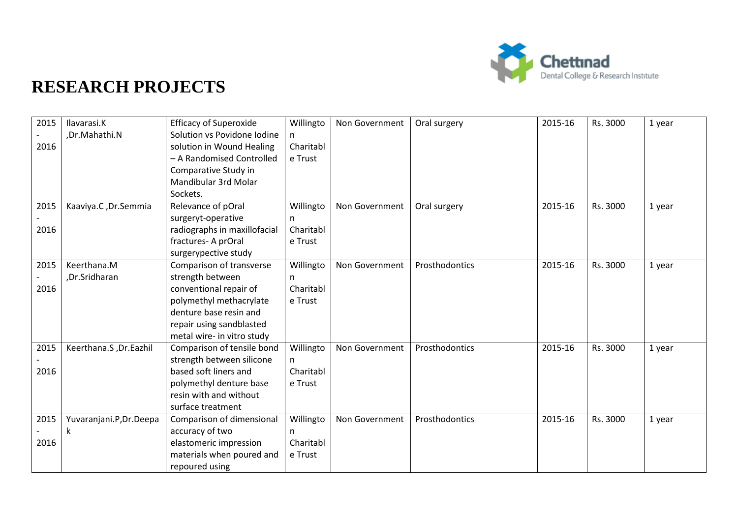

| 2015 | Ilavarasi.K              | <b>Efficacy of Superoxide</b> | Willingto | Non Government | Oral surgery   | 2015-16 | Rs. 3000 | 1 year |
|------|--------------------------|-------------------------------|-----------|----------------|----------------|---------|----------|--------|
|      | ,Dr.Mahathi.N            | Solution vs Povidone Iodine   | n         |                |                |         |          |        |
| 2016 |                          | solution in Wound Healing     | Charitabl |                |                |         |          |        |
|      |                          | - A Randomised Controlled     | e Trust   |                |                |         |          |        |
|      |                          | Comparative Study in          |           |                |                |         |          |        |
|      |                          | Mandibular 3rd Molar          |           |                |                |         |          |        |
|      |                          | Sockets.                      |           |                |                |         |          |        |
| 2015 | Kaaviya.C, Dr.Semmia     | Relevance of pOral            | Willingto | Non Government | Oral surgery   | 2015-16 | Rs. 3000 | 1 year |
|      |                          | surgeryt-operative            | n.        |                |                |         |          |        |
| 2016 |                          | radiographs in maxillofacial  | Charitabl |                |                |         |          |        |
|      |                          | fractures-A prOral            | e Trust   |                |                |         |          |        |
|      |                          | surgerypective study          |           |                |                |         |          |        |
| 2015 | Keerthana.M              | Comparison of transverse      | Willingto | Non Government | Prosthodontics | 2015-16 | Rs. 3000 | 1 year |
|      | ,Dr.Sridharan            | strength between              | n.        |                |                |         |          |        |
| 2016 |                          | conventional repair of        | Charitabl |                |                |         |          |        |
|      |                          | polymethyl methacrylate       | e Trust   |                |                |         |          |        |
|      |                          | denture base resin and        |           |                |                |         |          |        |
|      |                          | repair using sandblasted      |           |                |                |         |          |        |
|      |                          | metal wire- in vitro study    |           |                |                |         |          |        |
| 2015 | Keerthana.S, Dr.Eazhil   | Comparison of tensile bond    | Willingto | Non Government | Prosthodontics | 2015-16 | Rs. 3000 | 1 year |
|      |                          | strength between silicone     | n         |                |                |         |          |        |
| 2016 |                          | based soft liners and         | Charitabl |                |                |         |          |        |
|      |                          | polymethyl denture base       | e Trust   |                |                |         |          |        |
|      |                          | resin with and without        |           |                |                |         |          |        |
|      |                          | surface treatment             |           |                |                |         |          |        |
| 2015 | Yuvaranjani.P, Dr. Deepa | Comparison of dimensional     | Willingto | Non Government | Prosthodontics | 2015-16 | Rs. 3000 | 1 year |
|      | k                        | accuracy of two               | n         |                |                |         |          |        |
| 2016 |                          | elastomeric impression        | Charitabl |                |                |         |          |        |
|      |                          | materials when poured and     | e Trust   |                |                |         |          |        |
|      |                          | repoured using                |           |                |                |         |          |        |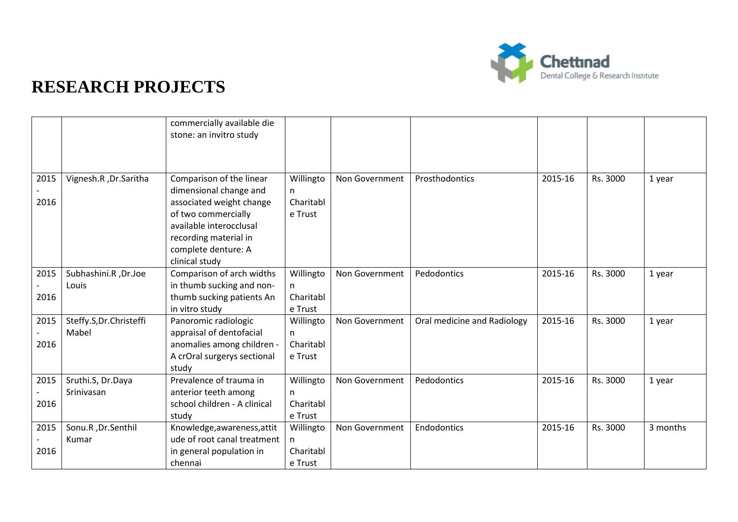

|      |                        | commercially available die<br>stone: an invitro study |                |                |                             |         |          |          |
|------|------------------------|-------------------------------------------------------|----------------|----------------|-----------------------------|---------|----------|----------|
|      |                        |                                                       |                |                |                             |         |          |          |
| 2015 | Vignesh.R, Dr.Saritha  | Comparison of the linear<br>dimensional change and    | Willingto      | Non Government | Prosthodontics              | 2015-16 | Rs. 3000 | 1 year   |
| 2016 |                        | associated weight change                              | n<br>Charitabl |                |                             |         |          |          |
|      |                        | of two commercially                                   | e Trust        |                |                             |         |          |          |
|      |                        | available interocclusal                               |                |                |                             |         |          |          |
|      |                        | recording material in                                 |                |                |                             |         |          |          |
|      |                        | complete denture: A<br>clinical study                 |                |                |                             |         |          |          |
| 2015 | Subhashini.R, Dr.Joe   | Comparison of arch widths                             | Willingto      | Non Government | Pedodontics                 | 2015-16 | Rs. 3000 | 1 year   |
|      | Louis                  | in thumb sucking and non-                             | n.             |                |                             |         |          |          |
| 2016 |                        | thumb sucking patients An                             | Charitabl      |                |                             |         |          |          |
|      |                        | in vitro study                                        | e Trust        |                |                             |         |          |          |
| 2015 | Steffy.S,Dr.Christeffi | Panoromic radiologic                                  | Willingto      | Non Government | Oral medicine and Radiology | 2015-16 | Rs. 3000 | 1 year   |
|      | Mabel                  | appraisal of dentofacial                              | n              |                |                             |         |          |          |
| 2016 |                        | anomalies among children -                            | Charitabl      |                |                             |         |          |          |
|      |                        | A crOral surgerys sectional                           | e Trust        |                |                             |         |          |          |
|      |                        | study                                                 |                |                |                             |         |          |          |
| 2015 | Sruthi.S, Dr.Daya      | Prevalence of trauma in                               | Willingto      | Non Government | Pedodontics                 | 2015-16 | Rs. 3000 | 1 year   |
|      | Srinivasan             | anterior teeth among                                  | n.             |                |                             |         |          |          |
| 2016 |                        | school children - A clinical                          | Charitabl      |                |                             |         |          |          |
|      |                        | study                                                 | e Trust        |                |                             |         |          |          |
| 2015 | Sonu.R, Dr.Senthil     | Knowledge, awareness, attit                           | Willingto      | Non Government | Endodontics                 | 2015-16 | Rs. 3000 | 3 months |
|      | Kumar                  | ude of root canal treatment                           | n.             |                |                             |         |          |          |
| 2016 |                        | in general population in                              | Charitabl      |                |                             |         |          |          |
|      |                        | chennai                                               | e Trust        |                |                             |         |          |          |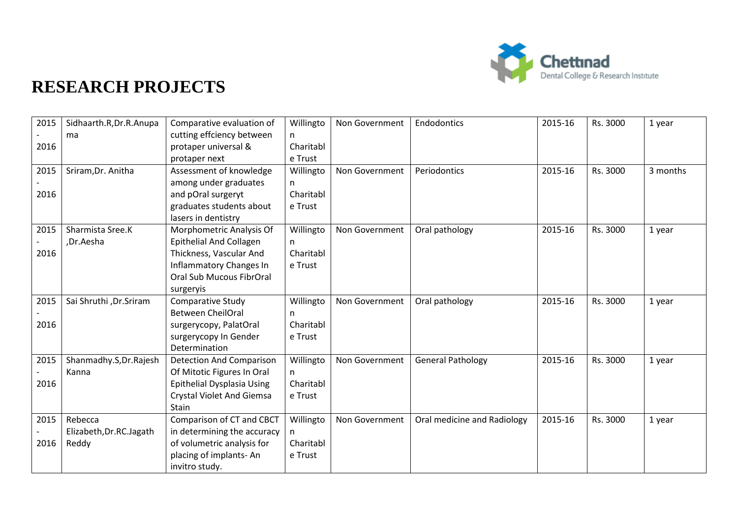

| 2015 | Sidhaarth.R, Dr.R. Anupa | Comparative evaluation of        | Willingto | Non Government | Endodontics                 | 2015-16 | Rs. 3000 | 1 year   |
|------|--------------------------|----------------------------------|-----------|----------------|-----------------------------|---------|----------|----------|
|      | ma                       | cutting effciency between        | n         |                |                             |         |          |          |
| 2016 |                          | protaper universal &             | Charitabl |                |                             |         |          |          |
|      |                          | protaper next                    | e Trust   |                |                             |         |          |          |
| 2015 | Sriram, Dr. Anitha       | Assessment of knowledge          | Willingto | Non Government | Periodontics                | 2015-16 | Rs. 3000 | 3 months |
|      |                          | among under graduates            | n.        |                |                             |         |          |          |
| 2016 |                          | and pOral surgeryt               | Charitabl |                |                             |         |          |          |
|      |                          | graduates students about         | e Trust   |                |                             |         |          |          |
|      |                          | lasers in dentistry              |           |                |                             |         |          |          |
| 2015 | Sharmista Sree.K         | Morphometric Analysis Of         | Willingto | Non Government | Oral pathology              | 2015-16 | Rs. 3000 | 1 year   |
|      | ,Dr.Aesha                | <b>Epithelial And Collagen</b>   | n.        |                |                             |         |          |          |
| 2016 |                          | Thickness, Vascular And          | Charitabl |                |                             |         |          |          |
|      |                          | <b>Inflammatory Changes In</b>   | e Trust   |                |                             |         |          |          |
|      |                          | <b>Oral Sub Mucous FibrOral</b>  |           |                |                             |         |          |          |
|      |                          | surgeryis                        |           |                |                             |         |          |          |
| 2015 | Sai Shruthi , Dr. Sriram | <b>Comparative Study</b>         | Willingto | Non Government | Oral pathology              | 2015-16 | Rs. 3000 | 1 year   |
|      |                          | <b>Between CheilOral</b>         | n.        |                |                             |         |          |          |
| 2016 |                          | surgerycopy, PalatOral           | Charitabl |                |                             |         |          |          |
|      |                          | surgerycopy In Gender            | e Trust   |                |                             |         |          |          |
|      |                          | Determination                    |           |                |                             |         |          |          |
| 2015 | Shanmadhy.S, Dr. Rajesh  | <b>Detection And Comparison</b>  | Willingto | Non Government | <b>General Pathology</b>    | 2015-16 | Rs. 3000 | 1 year   |
|      | Kanna                    | Of Mitotic Figures In Oral       | n         |                |                             |         |          |          |
| 2016 |                          | Epithelial Dysplasia Using       | Charitabl |                |                             |         |          |          |
|      |                          | <b>Crystal Violet And Giemsa</b> | e Trust   |                |                             |         |          |          |
|      |                          | Stain                            |           |                |                             |         |          |          |
| 2015 | Rebecca                  | Comparison of CT and CBCT        | Willingto | Non Government | Oral medicine and Radiology | 2015-16 | Rs. 3000 | 1 year   |
|      | Elizabeth, Dr.RC. Jagath | in determining the accuracy      | n.        |                |                             |         |          |          |
| 2016 | Reddy                    | of volumetric analysis for       | Charitabl |                |                             |         |          |          |
|      |                          | placing of implants-An           | e Trust   |                |                             |         |          |          |
|      |                          | invitro study.                   |           |                |                             |         |          |          |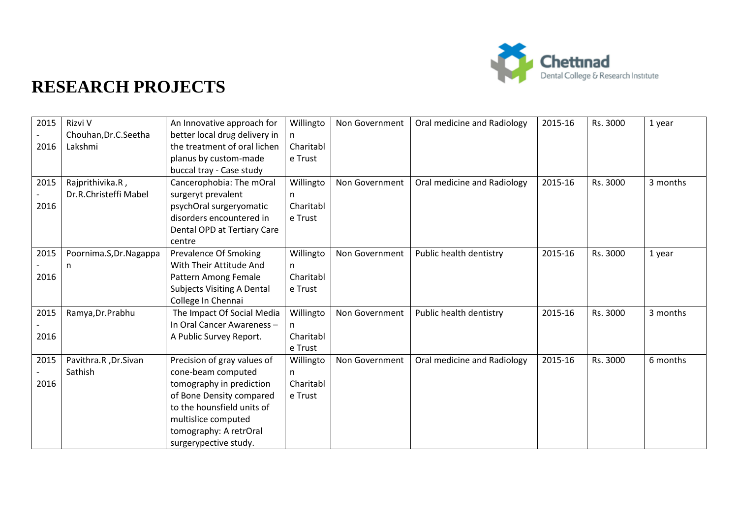

| 2015 | Rizvi V                 | An Innovative approach for        | Willingto | Non Government | Oral medicine and Radiology | 2015-16 | Rs. 3000 | 1 year   |
|------|-------------------------|-----------------------------------|-----------|----------------|-----------------------------|---------|----------|----------|
|      | Chouhan, Dr.C. Seetha   | better local drug delivery in     | n.        |                |                             |         |          |          |
| 2016 | Lakshmi                 | the treatment of oral lichen      | Charitabl |                |                             |         |          |          |
|      |                         | planus by custom-made             | e Trust   |                |                             |         |          |          |
|      |                         | buccal tray - Case study          |           |                |                             |         |          |          |
| 2015 | Rajprithivika.R,        | Cancerophobia: The mOral          | Willingto | Non Government | Oral medicine and Radiology | 2015-16 | Rs. 3000 | 3 months |
|      | Dr.R.Christeffi Mabel   | surgeryt prevalent                | n.        |                |                             |         |          |          |
| 2016 |                         | psychOral surgeryomatic           | Charitabl |                |                             |         |          |          |
|      |                         | disorders encountered in          | e Trust   |                |                             |         |          |          |
|      |                         | Dental OPD at Tertiary Care       |           |                |                             |         |          |          |
|      |                         | centre                            |           |                |                             |         |          |          |
| 2015 | Poornima.S, Dr. Nagappa | Prevalence Of Smoking             | Willingto | Non Government | Public health dentistry     | 2015-16 | Rs. 3000 | 1 year   |
|      | n                       | With Their Attitude And           | n.        |                |                             |         |          |          |
| 2016 |                         | Pattern Among Female              | Charitabl |                |                             |         |          |          |
|      |                         | <b>Subjects Visiting A Dental</b> | e Trust   |                |                             |         |          |          |
|      |                         | College In Chennai                |           |                |                             |         |          |          |
| 2015 | Ramya, Dr. Prabhu       | The Impact Of Social Media        | Willingto | Non Government | Public health dentistry     | 2015-16 | Rs. 3000 | 3 months |
|      |                         | In Oral Cancer Awareness -        | n.        |                |                             |         |          |          |
| 2016 |                         | A Public Survey Report.           | Charitabl |                |                             |         |          |          |
|      |                         |                                   | e Trust   |                |                             |         |          |          |
| 2015 | Pavithra.R, Dr.Sivan    | Precision of gray values of       | Willingto | Non Government | Oral medicine and Radiology | 2015-16 | Rs. 3000 | 6 months |
|      | Sathish                 | cone-beam computed                | n.        |                |                             |         |          |          |
| 2016 |                         | tomography in prediction          | Charitabl |                |                             |         |          |          |
|      |                         | of Bone Density compared          | e Trust   |                |                             |         |          |          |
|      |                         | to the hounsfield units of        |           |                |                             |         |          |          |
|      |                         | multislice computed               |           |                |                             |         |          |          |
|      |                         | tomography: A retrOral            |           |                |                             |         |          |          |
|      |                         | surgerypective study.             |           |                |                             |         |          |          |